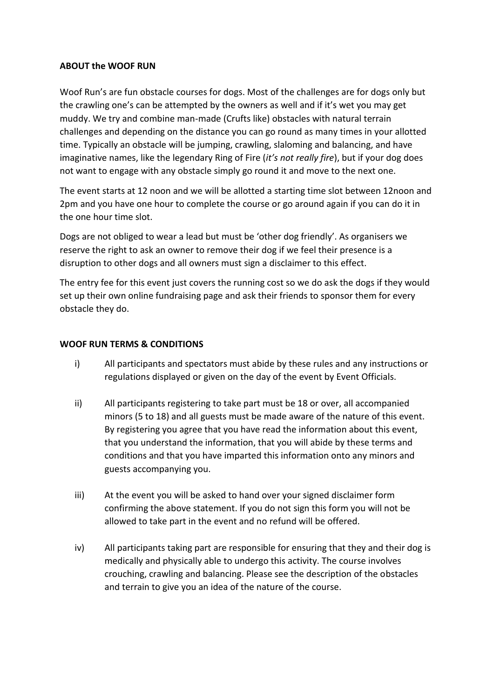## **ABOUT the WOOF RUN**

Woof Run's are fun obstacle courses for dogs. Most of the challenges are for dogs only but the crawling one's can be attempted by the owners as well and if it's wet you may get muddy. We try and combine man-made (Crufts like) obstacles with natural terrain challenges and depending on the distance you can go round as many times in your allotted time. Typically an obstacle will be jumping, crawling, slaloming and balancing, and have imaginative names, like the legendary Ring of Fire (*it's not really fire*), but if your dog does not want to engage with any obstacle simply go round it and move to the next one.

The event starts at 12 noon and we will be allotted a starting time slot between 12noon and 2pm and you have one hour to complete the course or go around again if you can do it in the one hour time slot.

Dogs are not obliged to wear a lead but must be 'other dog friendly'. As organisers we reserve the right to ask an owner to remove their dog if we feel their presence is a disruption to other dogs and all owners must sign a disclaimer to this effect.

The entry fee for this event just covers the running cost so we do ask the dogs if they would set up their own online fundraising page and ask their friends to sponsor them for every obstacle they do.

## **WOOF RUN TERMS & CONDITIONS**

- i) All participants and spectators must abide by these rules and any instructions or regulations displayed or given on the day of the event by Event Officials.
- ii) All participants registering to take part must be 18 or over, all accompanied minors (5 to 18) and all guests must be made aware of the nature of this event. By registering you agree that you have read the information about this event, that you understand the information, that you will abide by these terms and conditions and that you have imparted this information onto any minors and guests accompanying you.
- iii) At the event you will be asked to hand over your signed disclaimer form confirming the above statement. If you do not sign this form you will not be allowed to take part in the event and no refund will be offered.
- iv) All participants taking part are responsible for ensuring that they and their dog is medically and physically able to undergo this activity. The course involves crouching, crawling and balancing. Please see the description of the obstacles and terrain to give you an idea of the nature of the course.